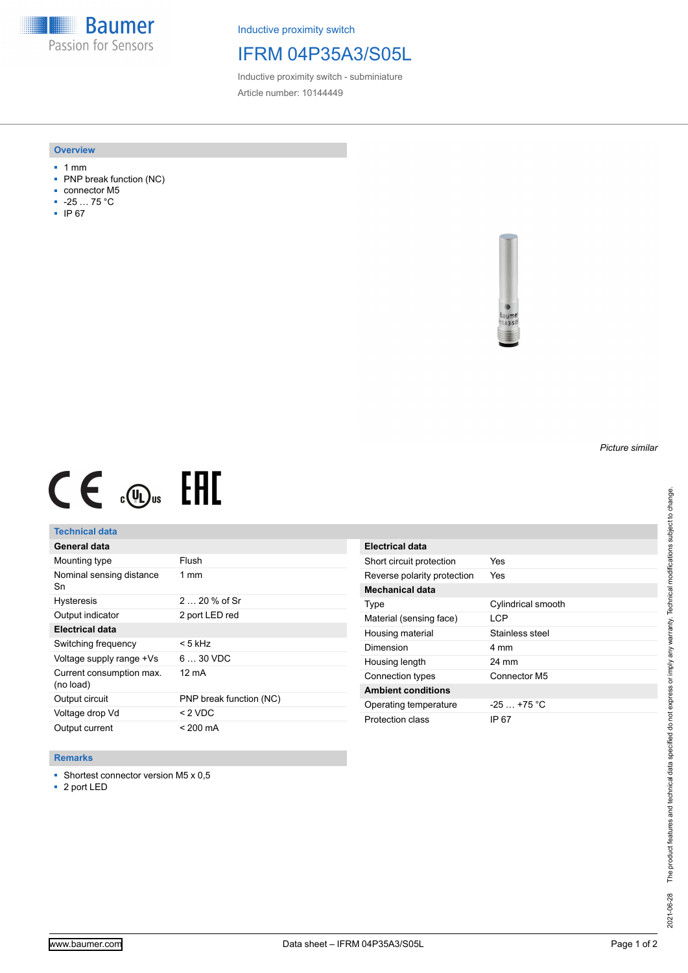**Baumer** Passion for Sensors

Inductive proximity switch

# IFRM 04P35A3/S05L

Inductive proximity switch - subminiature Article number: 10144449

#### **Overview**

- 1 mm
- PNP break function (NC)
- connector M5
- -25 … 75 °C
- IP 67



# $CE \mathcal{L}$  (Dus FRE

## **Technical data**

| General data                          |                         |
|---------------------------------------|-------------------------|
| Mounting type                         | Flush                   |
| Nominal sensing distance<br>Sn        | $1 \text{ mm}$          |
| <b>Hysteresis</b>                     | $220%$ of Sr            |
| Output indicator                      | 2 port LED red          |
| Electrical data                       |                         |
| Switching frequency                   | < 5 kHz                 |
| Voltage supply range +Vs              | $630$ VDC               |
| Current consumption max.<br>(no load) | 12 mA                   |
| Output circuit                        | PNP break function (NC) |
| Voltage drop Vd                       | < 2 VDC                 |
| Output current                        | < 200 mA                |

| Electrical data             |                    |
|-----------------------------|--------------------|
| Short circuit protection    | Yes                |
| Reverse polarity protection | Yes                |
| Mechanical data             |                    |
| Type                        | Cylindrical smooth |
| Material (sensing face)     | I CP               |
| Housing material            | Stainless steel    |
| Dimension                   | 4 mm               |
| Housing length              | 24 mm              |
| Connection types            | Connector M5       |
| <b>Ambient conditions</b>   |                    |
| Operating temperature       | $-25 + 75$ °C      |
| Protection class            | IP 67              |

#### **Remarks**

■ Shortest connector version M5 x 0,5

■ 2 port LED

*Picture similar*